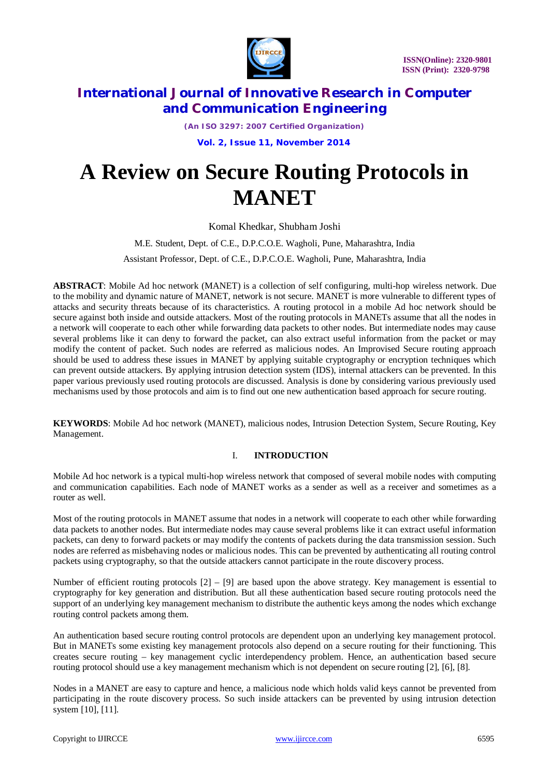

*(An ISO 3297: 2007 Certified Organization)*

 **Vol. 2, Issue 11, November 2014** 

# **A Review on Secure Routing Protocols in MANET**

Komal Khedkar, Shubham Joshi

M.E. Student, Dept. of C.E., D.P.C.O.E. Wagholi, Pune, Maharashtra, India

Assistant Professor, Dept. of C.E., D.P.C.O.E. Wagholi, Pune, Maharashtra, India

**ABSTRACT**: Mobile Ad hoc network (MANET) is a collection of self configuring, multi-hop wireless network. Due to the mobility and dynamic nature of MANET, network is not secure. MANET is more vulnerable to different types of attacks and security threats because of its characteristics. A routing protocol in a mobile Ad hoc network should be secure against both inside and outside attackers. Most of the routing protocols in MANETs assume that all the nodes in a network will cooperate to each other while forwarding data packets to other nodes. But intermediate nodes may cause several problems like it can deny to forward the packet, can also extract useful information from the packet or may modify the content of packet. Such nodes are referred as malicious nodes. An Improvised Secure routing approach should be used to address these issues in MANET by applying suitable cryptography or encryption techniques which can prevent outside attackers. By applying intrusion detection system (IDS), internal attackers can be prevented. In this paper various previously used routing protocols are discussed. Analysis is done by considering various previously used mechanisms used by those protocols and aim is to find out one new authentication based approach for secure routing.

**KEYWORDS**: Mobile Ad hoc network (MANET), malicious nodes, Intrusion Detection System, Secure Routing, Key Management.

## I. **INTRODUCTION**

Mobile Ad hoc network is a typical multi-hop wireless network that composed of several mobile nodes with computing and communication capabilities. Each node of MANET works as a sender as well as a receiver and sometimes as a router as well.

Most of the routing protocols in MANET assume that nodes in a network will cooperate to each other while forwarding data packets to another nodes. But intermediate nodes may cause several problems like it can extract useful information packets, can deny to forward packets or may modify the contents of packets during the data transmission session. Such nodes are referred as misbehaving nodes or malicious nodes. This can be prevented by authenticating all routing control packets using cryptography, so that the outside attackers cannot participate in the route discovery process.

Number of efficient routing protocols  $[2] - [9]$  are based upon the above strategy. Key management is essential to cryptography for key generation and distribution. But all these authentication based secure routing protocols need the support of an underlying key management mechanism to distribute the authentic keys among the nodes which exchange routing control packets among them.

An authentication based secure routing control protocols are dependent upon an underlying key management protocol. But in MANETs some existing key management protocols also depend on a secure routing for their functioning. This creates secure routing – key management cyclic interdependency problem. Hence, an authentication based secure routing protocol should use a key management mechanism which is not dependent on secure routing [2], [6], [8].

Nodes in a MANET are easy to capture and hence, a malicious node which holds valid keys cannot be prevented from participating in the route discovery process. So such inside attackers can be prevented by using intrusion detection system [10], [11].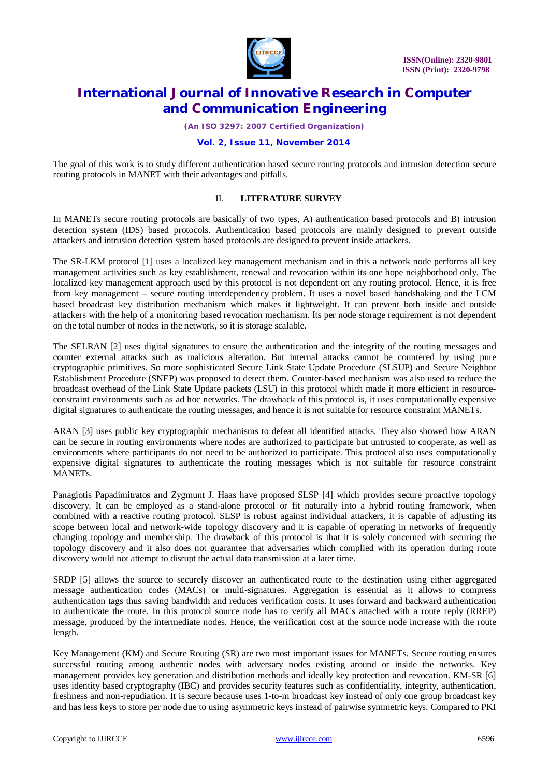

*(An ISO 3297: 2007 Certified Organization)*

#### **Vol. 2, Issue 11, November 2014**

The goal of this work is to study different authentication based secure routing protocols and intrusion detection secure routing protocols in MANET with their advantages and pitfalls.

#### II. **LITERATURE SURVEY**

In MANETs secure routing protocols are basically of two types, A) authentication based protocols and B) intrusion detection system (IDS) based protocols. Authentication based protocols are mainly designed to prevent outside attackers and intrusion detection system based protocols are designed to prevent inside attackers.

The SR-LKM protocol [1] uses a localized key management mechanism and in this a network node performs all key management activities such as key establishment, renewal and revocation within its one hope neighborhood only. The localized key management approach used by this protocol is not dependent on any routing protocol. Hence, it is free from key management – secure routing interdependency problem. It uses a novel based handshaking and the LCM based broadcast key distribution mechanism which makes it lightweight. It can prevent both inside and outside attackers with the help of a monitoring based revocation mechanism. Its per node storage requirement is not dependent on the total number of nodes in the network, so it is storage scalable.

The SELRAN [2] uses digital signatures to ensure the authentication and the integrity of the routing messages and counter external attacks such as malicious alteration. But internal attacks cannot be countered by using pure cryptographic primitives. So more sophisticated Secure Link State Update Procedure (SLSUP) and Secure Neighbor Establishment Procedure (SNEP) was proposed to detect them. Counter-based mechanism was also used to reduce the broadcast overhead of the Link State Update packets (LSU) in this protocol which made it more efficient in resourceconstraint environments such as ad hoc networks. The drawback of this protocol is, it uses computationally expensive digital signatures to authenticate the routing messages, and hence it is not suitable for resource constraint MANETs.

ARAN [3] uses public key cryptographic mechanisms to defeat all identified attacks. They also showed how ARAN can be secure in routing environments where nodes are authorized to participate but untrusted to cooperate, as well as environments where participants do not need to be authorized to participate. This protocol also uses computationally expensive digital signatures to authenticate the routing messages which is not suitable for resource constraint MANETs.

Panagiotis Papadimitratos and Zygmunt J. Haas have proposed SLSP [4] which provides secure proactive topology discovery. It can be employed as a stand-alone protocol or fit naturally into a hybrid routing framework, when combined with a reactive routing protocol. SLSP is robust against individual attackers, it is capable of adjusting its scope between local and network-wide topology discovery and it is capable of operating in networks of frequently changing topology and membership. The drawback of this protocol is that it is solely concerned with securing the topology discovery and it also does not guarantee that adversaries which complied with its operation during route discovery would not attempt to disrupt the actual data transmission at a later time.

SRDP [5] allows the source to securely discover an authenticated route to the destination using either aggregated message authentication codes (MACs) or multi-signatures. Aggregation is essential as it allows to compress authentication tags thus saving bandwidth and reduces verification costs. It uses forward and backward authentication to authenticate the route. In this protocol source node has to verify all MACs attached with a route reply (RREP) message, produced by the intermediate nodes. Hence, the verification cost at the source node increase with the route length.

Key Management (KM) and Secure Routing (SR) are two most important issues for MANETs. Secure routing ensures successful routing among authentic nodes with adversary nodes existing around or inside the networks. Key management provides key generation and distribution methods and ideally key protection and revocation. KM-SR [6] uses identity based cryptography (IBC) and provides security features such as confidentiality, integrity, authentication, freshness and non-repudiation. It is secure because uses 1-to-m broadcast key instead of only one group broadcast key and has less keys to store per node due to using asymmetric keys instead of pairwise symmetric keys. Compared to PKI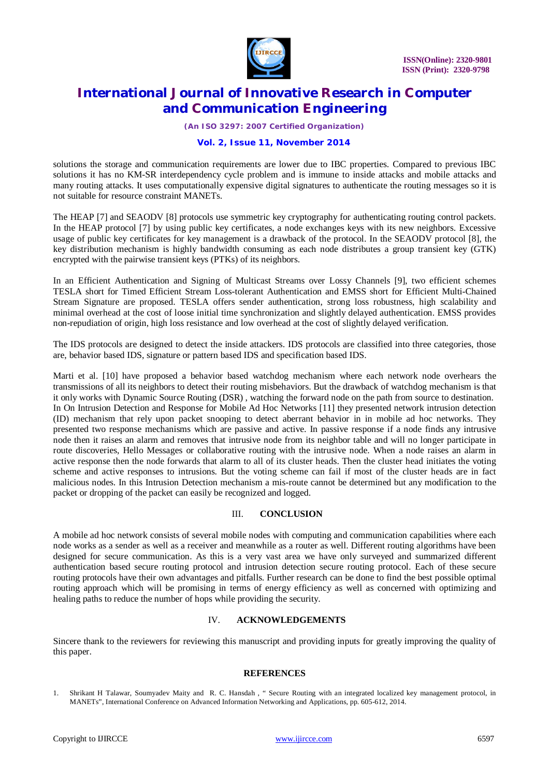

*(An ISO 3297: 2007 Certified Organization)*

#### **Vol. 2, Issue 11, November 2014**

solutions the storage and communication requirements are lower due to IBC properties. Compared to previous IBC solutions it has no KM-SR interdependency cycle problem and is immune to inside attacks and mobile attacks and many routing attacks. It uses computationally expensive digital signatures to authenticate the routing messages so it is not suitable for resource constraint MANETs.

The HEAP [7] and SEAODV [8] protocols use symmetric key cryptography for authenticating routing control packets. In the HEAP protocol [7] by using public key certificates, a node exchanges keys with its new neighbors. Excessive usage of public key certificates for key management is a drawback of the protocol. In the SEAODV protocol [8], the key distribution mechanism is highly bandwidth consuming as each node distributes a group transient key (GTK) encrypted with the pairwise transient keys (PTKs) of its neighbors.

In an Efficient Authentication and Signing of Multicast Streams over Lossy Channels [9], two efficient schemes TESLA short for Timed Efficient Stream Loss-tolerant Authentication and EMSS short for Efficient Multi-Chained Stream Signature are proposed. TESLA offers sender authentication, strong loss robustness, high scalability and minimal overhead at the cost of loose initial time synchronization and slightly delayed authentication. EMSS provides non-repudiation of origin, high loss resistance and low overhead at the cost of slightly delayed verification.

The IDS protocols are designed to detect the inside attackers. IDS protocols are classified into three categories, those are, behavior based IDS, signature or pattern based IDS and specification based IDS.

Marti et al. [10] have proposed a behavior based watchdog mechanism where each network node overhears the transmissions of all its neighbors to detect their routing misbehaviors. But the drawback of watchdog mechanism is that it only works with Dynamic Source Routing (DSR) , watching the forward node on the path from source to destination. In On Intrusion Detection and Response for Mobile Ad Hoc Networks [11] they presented network intrusion detection (ID) mechanism that rely upon packet snooping to detect aberrant behavior in in mobile ad hoc networks. They presented two response mechanisms which are passive and active. In passive response if a node finds any intrusive node then it raises an alarm and removes that intrusive node from its neighbor table and will no longer participate in route discoveries, Hello Messages or collaborative routing with the intrusive node. When a node raises an alarm in active response then the node forwards that alarm to all of its cluster heads. Then the cluster head initiates the voting scheme and active responses to intrusions. But the voting scheme can fail if most of the cluster heads are in fact malicious nodes. In this Intrusion Detection mechanism a mis-route cannot be determined but any modification to the packet or dropping of the packet can easily be recognized and logged.

#### III. **CONCLUSION**

A mobile ad hoc network consists of several mobile nodes with computing and communication capabilities where each node works as a sender as well as a receiver and meanwhile as a router as well. Different routing algorithms have been designed for secure communication. As this is a very vast area we have only surveyed and summarized different authentication based secure routing protocol and intrusion detection secure routing protocol. Each of these secure routing protocols have their own advantages and pitfalls. Further research can be done to find the best possible optimal routing approach which will be promising in terms of energy efficiency as well as concerned with optimizing and healing paths to reduce the number of hops while providing the security.

## IV. **ACKNOWLEDGEMENTS**

Sincere thank to the reviewers for reviewing this manuscript and providing inputs for greatly improving the quality of this paper.

#### **REFERENCES**

<sup>1.</sup> Shrikant H Talawar, Soumyadev Maity and R. C. Hansdah , " Secure Routing with an integrated localized key management protocol, in MANETs", International Conference on Advanced Information Networking and Applications, pp. 605-612, 2014.